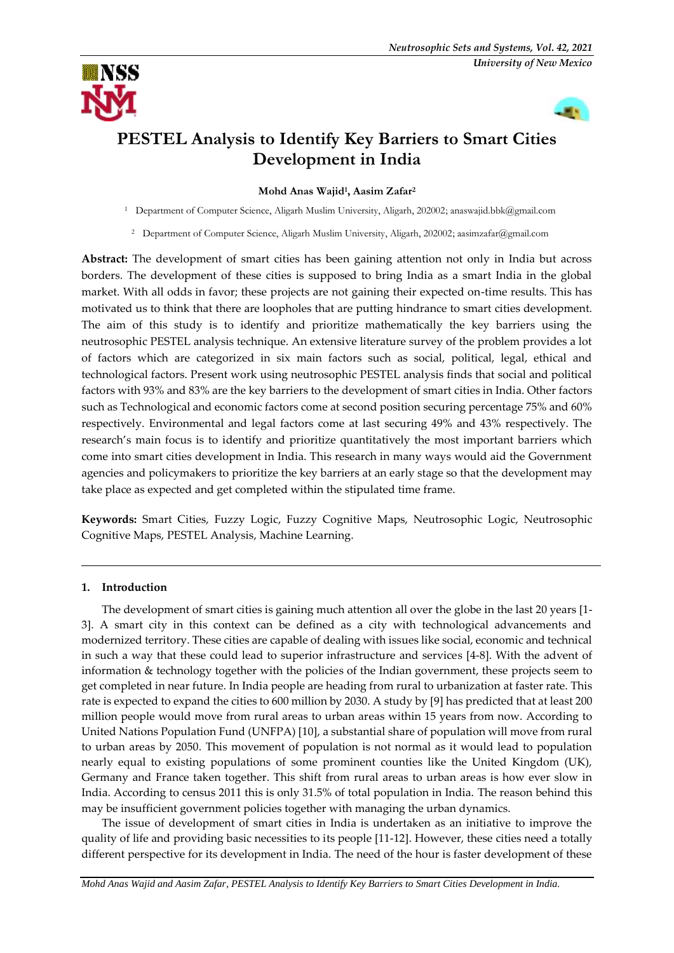



# **PESTEL Analysis to Identify Key Barriers to Smart Cities Development in India**

**Mohd Anas Wajid<sup>1</sup> , Aasim Zafar<sup>2</sup>**

<sup>1</sup> Department of Computer Science, Aligarh Muslim University, Aligarh, 202002; [anaswajid.bbk@gmail.com](mailto:anaswajid.bbk@gmail.com)

<sup>2</sup> Department of Computer Science, Aligarh Muslim University, Aligarh, 202002; [aasimzafar@gmail.com](mailto:aasimzafar@gmail.com)

**Abstract:** The development of smart cities has been gaining attention not only in India but across borders. The development of these cities is supposed to bring India as a smart India in the global market. With all odds in favor; these projects are not gaining their expected on-time results. This has motivated us to think that there are loopholes that are putting hindrance to smart cities development. The aim of this study is to identify and prioritize mathematically the key barriers using the neutrosophic PESTEL analysis technique. An extensive literature survey of the problem provides a lot of factors which are categorized in six main factors such as social, political, legal, ethical and technological factors. Present work using neutrosophic PESTEL analysis finds that social and political factors with 93% and 83% are the key barriers to the development of smart cities in India. Other factors such as Technological and economic factors come at second position securing percentage 75% and 60% respectively. Environmental and legal factors come at last securing 49% and 43% respectively. The research's main focus is to identify and prioritize quantitatively the most important barriers which come into smart cities development in India. This research in many ways would aid the Government agencies and policymakers to prioritize the key barriers at an early stage so that the development may take place as expected and get completed within the stipulated time frame.

**Keywords:** Smart Cities, Fuzzy Logic, Fuzzy Cognitive Maps, Neutrosophic Logic, Neutrosophic Cognitive Maps, PESTEL Analysis, Machine Learning.

# **1. Introduction**

The development of smart cities is gaining much attention all over the globe in the last 20 years [1- 3]. A smart city in this context can be defined as a city with technological advancements and modernized territory. These cities are capable of dealing with issues like social, economic and technical in such a way that these could lead to superior infrastructure and services [4-8]. With the advent of information & technology together with the policies of the Indian government, these projects seem to get completed in near future. In India people are heading from rural to urbanization at faster rate. This rate is expected to expand the cities to 600 million by 2030. A study by [9] has predicted that at least 200 million people would move from rural areas to urban areas within 15 years from now. According to United Nations Population Fund (UNFPA) [10], a substantial share of population will move from rural to urban areas by 2050. This movement of population is not normal as it would lead to population nearly equal to existing populations of some prominent counties like the United Kingdom (UK), Germany and France taken together. This shift from rural areas to urban areas is how ever slow in India. According to census 2011 this is only 31.5% of total population in India. The reason behind this may be insufficient government policies together with managing the urban dynamics.

The issue of development of smart cities in India is undertaken as an initiative to improve the quality of life and providing basic necessities to its people [11-12]. However, these cities need a totally different perspective for its development in India. The need of the hour is faster development of these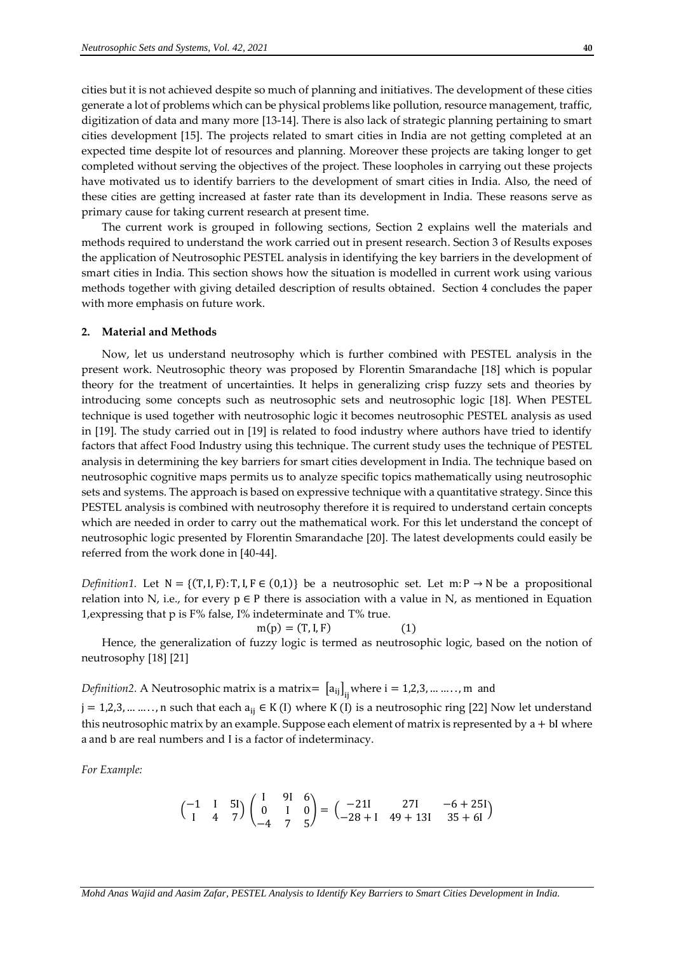cities but it is not achieved despite so much of planning and initiatives. The development of these cities generate a lot of problems which can be physical problems like pollution, resource management, traffic, digitization of data and many more [13-14]. There is also lack of strategic planning pertaining to smart cities development [15]. The projects related to smart cities in India are not getting completed at an expected time despite lot of resources and planning. Moreover these projects are taking longer to get completed without serving the objectives of the project. These loopholes in carrying out these projects have motivated us to identify barriers to the development of smart cities in India. Also, the need of these cities are getting increased at faster rate than its development in India. These reasons serve as primary cause for taking current research at present time.

The current work is grouped in following sections, Section 2 explains well the materials and methods required to understand the work carried out in present research. Section 3 of Results exposes the application of Neutrosophic PESTEL analysis in identifying the key barriers in the development of smart cities in India. This section shows how the situation is modelled in current work using various methods together with giving detailed description of results obtained. Section 4 concludes the paper with more emphasis on future work.

#### **2. Material and Methods**

Now, let us understand neutrosophy which is further combined with PESTEL analysis in the present work. Neutrosophic theory was proposed by Florentin Smarandache [18] which is popular theory for the treatment of uncertainties. It helps in generalizing crisp fuzzy sets and theories by introducing some concepts such as neutrosophic sets and neutrosophic logic [18]. When PESTEL technique is used together with neutrosophic logic it becomes neutrosophic PESTEL analysis as used in [19]. The study carried out in [19] is related to food industry where authors have tried to identify factors that affect Food Industry using this technique. The current study uses the technique of PESTEL analysis in determining the key barriers for smart cities development in India. The technique based on neutrosophic cognitive maps permits us to analyze specific topics mathematically using neutrosophic sets and systems. The approach is based on expressive technique with a quantitative strategy. Since this PESTEL analysis is combined with neutrosophy therefore it is required to understand certain concepts which are needed in order to carry out the mathematical work. For this let understand the concept of neutrosophic logic presented by Florentin Smarandache [20]. The latest developments could easily be referred from the work done in [40-44].

*Definition1.* Let  $N = \{(T, I, F): T, I, F \in (0,1)\}$  be a neutrosophic set. Let m: P  $\rightarrow$  N be a propositional relation into N, i.e., for every  $p \in P$  there is association with a value in N, as mentioned in Equation 1,expressing that p is F% false, I% indeterminate and T% true.

$$
m(p) = (T, I, F) \tag{1}
$$

Hence, the generalization of fuzzy logic is termed as neutrosophic logic, based on the notion of neutrosophy [18] [21]

*Definition2.* A Neutrosophic matrix is a matrix=  $[a_{ij}]_{ij}$  where i = 1,2,3, ... ....., m and

 $j = 1,2,3,...,...,n$  such that each  $a_{ij} \in K(I)$  where K (I) is a neutrosophic ring [22] Now let understand this neutrosophic matrix by an example. Suppose each element of matrix is represented by  $a + bI$  where a and b are real numbers and I is a factor of indeterminacy.

*For Example:*

$$
\begin{pmatrix} -1 & 1 & 5\mathbf{I} \\ \mathbf{I} & 4 & 7 \end{pmatrix} \begin{pmatrix} \mathbf{I} & 9\mathbf{I} & 6 \\ 0 & \mathbf{I} & 0 \\ -4 & 7 & 5 \end{pmatrix} = \begin{pmatrix} -21\mathbf{I} & 27\mathbf{I} & -6 + 25\mathbf{I} \\ -28 + \mathbf{I} & 49 + 13\mathbf{I} & 35 + 6\mathbf{I} \end{pmatrix}
$$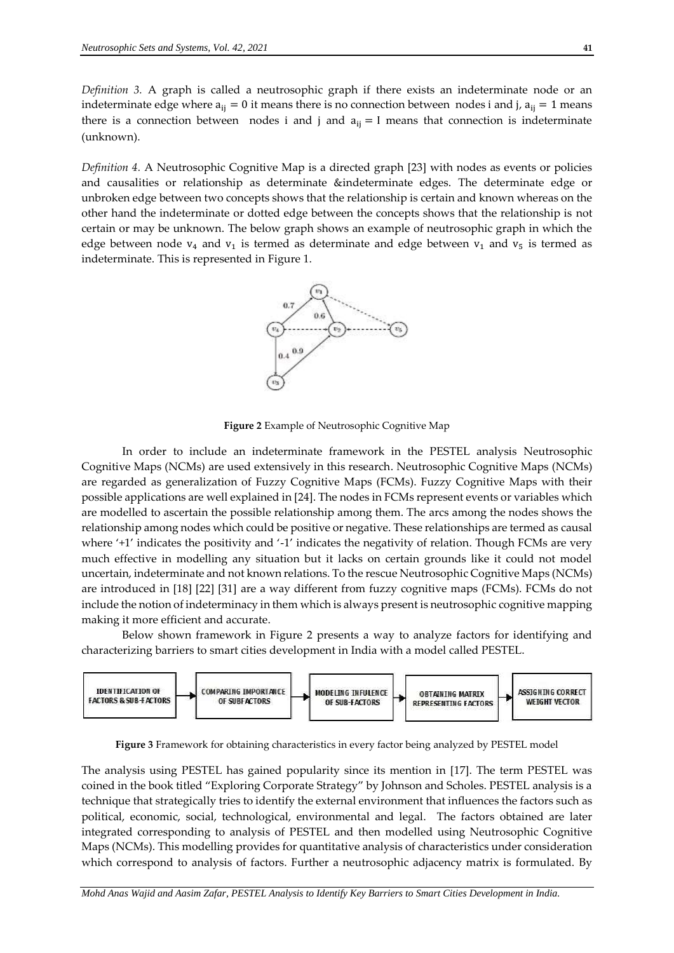*Definition 3.* A graph is called a neutrosophic graph if there exists an indeterminate node or an indeterminate edge where  $a_{ij} = 0$  it means there is no connection between nodes i and j,  $a_{ij} = 1$  means there is a connection between nodes i and j and  $a_{ij} = I$  means that connection is indeterminate (unknown).

*Definition 4.* A Neutrosophic Cognitive Map is a directed graph [23] with nodes as events or policies and causalities or relationship as determinate &indeterminate edges. The determinate edge or unbroken edge between two concepts shows that the relationship is certain and known whereas on the other hand the indeterminate or dotted edge between the concepts shows that the relationship is not certain or may be unknown. The below graph shows an example of neutrosophic graph in which the edge between node  $v_4$  and  $v_1$  is termed as determinate and edge between  $v_1$  and  $v_5$  is termed as indeterminate. This is represented in Figure 1.



**Figure 2** Example of Neutrosophic Cognitive Map

In order to include an indeterminate framework in the PESTEL analysis Neutrosophic Cognitive Maps (NCMs) are used extensively in this research. Neutrosophic Cognitive Maps (NCMs) are regarded as generalization of Fuzzy Cognitive Maps (FCMs). Fuzzy Cognitive Maps with their possible applications are well explained in [24]. The nodes in FCMs represent events or variables which are modelled to ascertain the possible relationship among them. The arcs among the nodes shows the relationship among nodes which could be positive or negative. These relationships are termed as causal where '+1' indicates the positivity and '-1' indicates the negativity of relation. Though FCMs are very much effective in modelling any situation but it lacks on certain grounds like it could not model uncertain, indeterminate and not known relations. To the rescue Neutrosophic Cognitive Maps (NCMs) are introduced in [18] [22] [31] are a way different from fuzzy cognitive maps (FCMs). FCMs do not include the notion of indeterminacy in them which is always present is neutrosophic cognitive mapping making it more efficient and accurate.

Below shown framework in Figure 2 presents a way to analyze factors for identifying and characterizing barriers to smart cities development in India with a model called PESTEL.



**Figure 3** Framework for obtaining characteristics in every factor being analyzed by PESTEL model

The analysis using PESTEL has gained popularity since its mention in [17]. The term PESTEL was coined in the book titled "Exploring Corporate Strategy" by Johnson and Scholes. PESTEL analysis is a technique that strategically tries to identify the external environment that influences the factors such as political, economic, social, technological, environmental and legal. The factors obtained are later integrated corresponding to analysis of PESTEL and then modelled using Neutrosophic Cognitive Maps (NCMs). This modelling provides for quantitative analysis of characteristics under consideration which correspond to analysis of factors. Further a neutrosophic adjacency matrix is formulated. By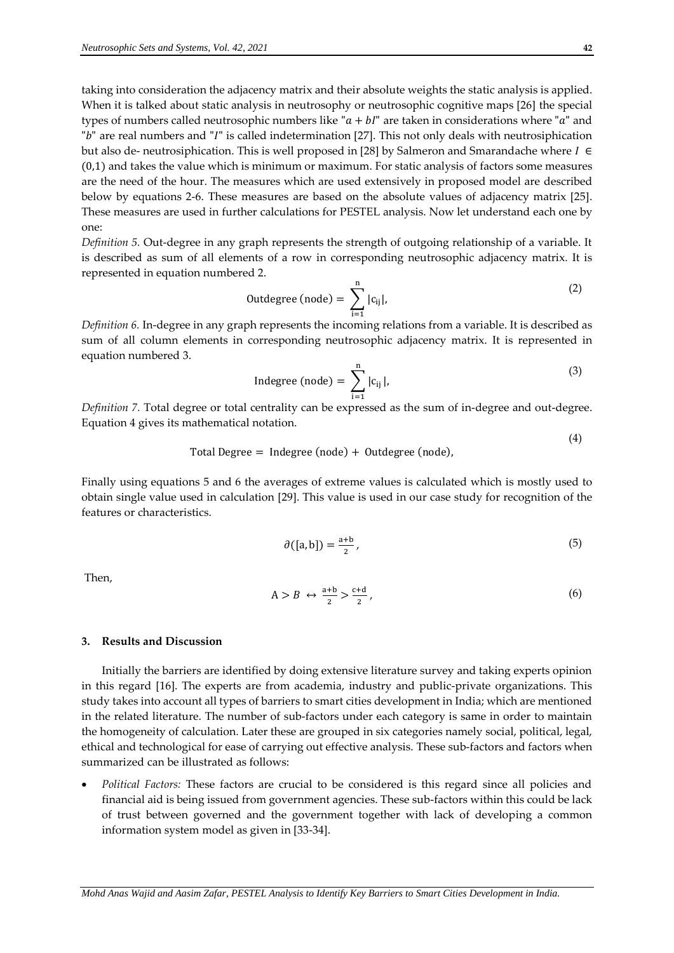taking into consideration the adjacency matrix and their absolute weights the static analysis is applied. When it is talked about static analysis in neutrosophy or neutrosophic cognitive maps [26] the special types of numbers called neutrosophic numbers like " $a + bI$ " are taken in considerations where "a" and "b" are real numbers and "I" is called indetermination [27]. This not only deals with neutrosiphication but also de- neutrosiphication. This is well proposed in [28] by Salmeron and Smarandache where  $I \in$ (0,1) and takes the value which is minimum or maximum. For static analysis of factors some measures are the need of the hour. The measures which are used extensively in proposed model are described below by equations 2-6. These measures are based on the absolute values of adjacency matrix [25]. These measures are used in further calculations for PESTEL analysis. Now let understand each one by one:

*Definition 5.* Out-degree in any graph represents the strength of outgoing relationship of a variable. It is described as sum of all elements of a row in corresponding neutrosophic adjacency matrix. It is represented in equation numbered 2.

$$
Outdegree (node) = \sum_{i=1}^{n} |c_{ij}|,
$$
\n(2)

*Definition 6.* In-degree in any graph represents the incoming relations from a variable. It is described as sum of all column elements in corresponding neutrosophic adjacency matrix. It is represented in equation numbered 3.

$$
Indegree (node) = \sum_{i=1}^{n} |c_{ij}|,
$$
\n(3)

*Definition 7.* Total degree or total centrality can be expressed as the sum of in-degree and out-degree. Equation 4 gives its mathematical notation.

Total Degree = Indegree (node) + Outdegree (node),

Finally using equations 5 and 6 the averages of extreme values is calculated which is mostly used to obtain single value used in calculation [29]. This value is used in our case study for recognition of the features or characteristics.

$$
\partial([a, b]) = \frac{a+b}{2},\tag{5}
$$

Then,

$$
A > B \leftrightarrow \frac{a+b}{2} > \frac{c+d}{2},\tag{6}
$$

### **3. Results and Discussion**

Initially the barriers are identified by doing extensive literature survey and taking experts opinion in this regard [16]. The experts are from academia, industry and public-private organizations. This study takes into account all types of barriers to smart cities development in India; which are mentioned in the related literature. The number of sub-factors under each category is same in order to maintain the homogeneity of calculation. Later these are grouped in six categories namely social, political, legal, ethical and technological for ease of carrying out effective analysis. These sub-factors and factors when summarized can be illustrated as follows:

 *Political Factors:* These factors are crucial to be considered is this regard since all policies and financial aid is being issued from government agencies. These sub-factors within this could be lack of trust between governed and the government together with lack of developing a common information system model as given in [33-34].

(4)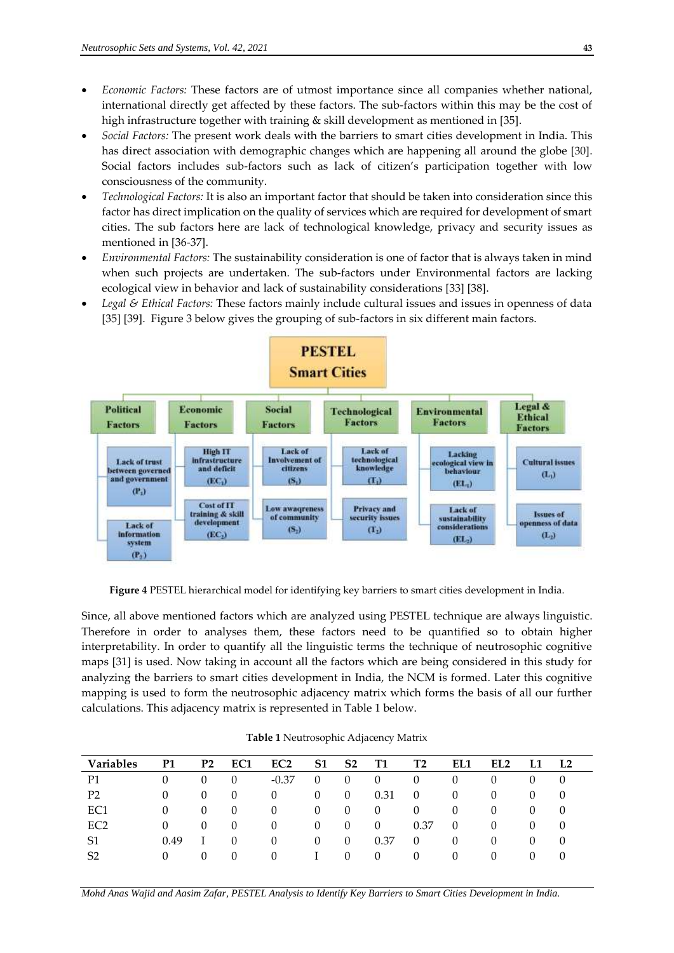- *Economic Factors:* These factors are of utmost importance since all companies whether national, international directly get affected by these factors. The sub-factors within this may be the cost of high infrastructure together with training & skill development as mentioned in [35].
- *Social Factors:* The present work deals with the barriers to smart cities development in India. This has direct association with demographic changes which are happening all around the globe [30]. Social factors includes sub-factors such as lack of citizen's participation together with low consciousness of the community.
- *Technological Factors:* It is also an important factor that should be taken into consideration since this factor has direct implication on the quality of services which are required for development of smart cities. The sub factors here are lack of technological knowledge, privacy and security issues as mentioned in [36-37].
- *Environmental Factors:* The sustainability consideration is one of factor that is always taken in mind when such projects are undertaken. The sub-factors under Environmental factors are lacking ecological view in behavior and lack of sustainability considerations [33] [38].
- *Legal & Ethical Factors:* These factors mainly include cultural issues and issues in openness of data [35] [39]. Figure 3 below gives the grouping of sub-factors in six different main factors.



**Figure 4** PESTEL hierarchical model for identifying key barriers to smart cities development in India.

Since, all above mentioned factors which are analyzed using PESTEL technique are always linguistic. Therefore in order to analyses them, these factors need to be quantified so to obtain higher interpretability. In order to quantify all the linguistic terms the technique of neutrosophic cognitive maps [31] is used. Now taking in account all the factors which are being considered in this study for analyzing the barriers to smart cities development in India, the NCM is formed. Later this cognitive mapping is used to form the neutrosophic adjacency matrix which forms the basis of all our further calculations. This adjacency matrix is represented in Table 1 below.

| <b>Variables</b> | P1       | P <sub>2</sub>   | EC1      | EC <sub>2</sub> | S <sub>1</sub> | S <sub>2</sub> | <b>T1</b> | Т2       | EL1      | EL <sub>2</sub> | L <sub>2</sub> |
|------------------|----------|------------------|----------|-----------------|----------------|----------------|-----------|----------|----------|-----------------|----------------|
| P1               | $\theta$ | $\cup$           | $\theta$ | $-0.37$         | $\theta$       |                | $\cup$    | 0        | O        | O               | $\theta$       |
| P2               | $\theta$ | $\left( \right)$ | $\theta$ | 0               | $\Omega$       | $\theta$       | 0.31      | $\theta$ | $\theta$ | $\theta$        | $\theta$       |
| EC1              | 0        | $\left( \right)$ | $\Omega$ | 0               | $\Omega$       |                | 0         | $\theta$ | $\theta$ | 0               | 0              |
| EC <sub>2</sub>  | 0        | $\theta$         | $\theta$ | 0               | $\Omega$       |                | $\theta$  | 0.37     | 0        | 0               | 0              |
| S1               | 0.49     |                  | $\Omega$ | 0               | $\Omega$       | $\theta$       | 0.37      | 0        | $\Omega$ | 0               | $\theta$       |
| S <sub>2</sub>   | $\theta$ | $\theta$         | $\theta$ | 0               |                |                | $\Omega$  | $\cup$   | $\cup$   | $\theta$        | 0              |

**Table 1** Neutrosophic Adjacency Matrix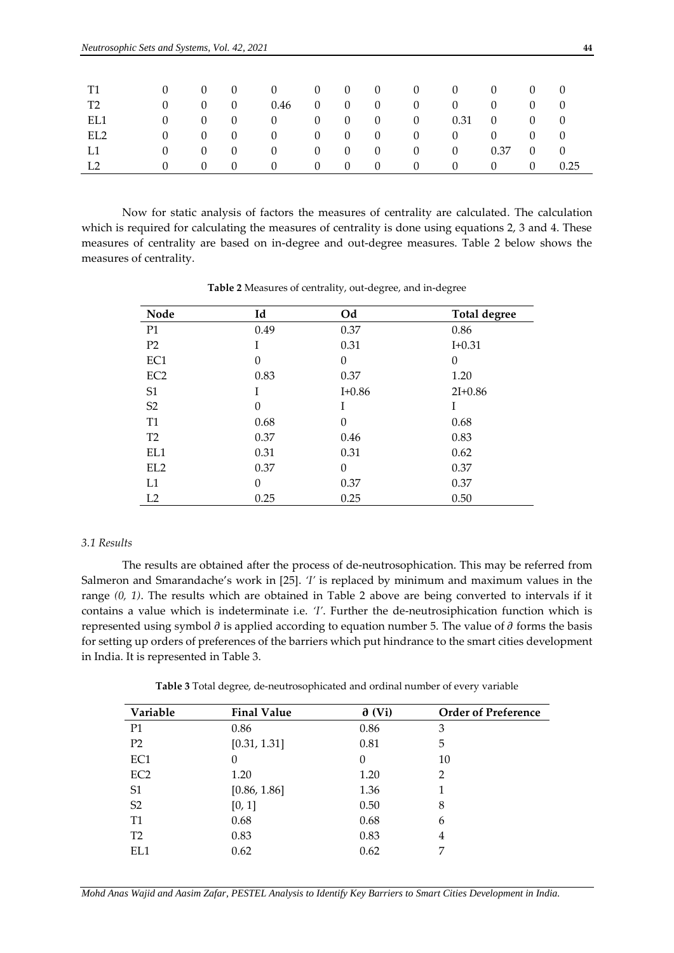| T1             |              | $0 \qquad 0 \qquad 0$                    |                                        | $\begin{array}{ccccccc}\n0 & 0 & 0 & 0\n\end{array}$ |  |                     | $\overline{0}$                          | $\mathbf{0}$   | $0 \qquad 0 \qquad 0$          |                                     |      |
|----------------|--------------|------------------------------------------|----------------------------------------|------------------------------------------------------|--|---------------------|-----------------------------------------|----------------|--------------------------------|-------------------------------------|------|
| T2             | $\Omega$     | $\overline{0}$                           | $\begin{array}{ccc} & & 0 \end{array}$ | $0.46$ 0 0 0                                         |  |                     | $\mathbf{0}$                            | $\mathbf{0}$   | $\mathbf{0}$                   | $\begin{matrix} 0 & 0 \end{matrix}$ |      |
| EL1            | $\mathbf{0}$ | $0\qquad 0$                              | <b>Contractor</b>                      |                                                      |  |                     | $0 \qquad 0 \qquad 0 \qquad 0 \qquad 0$ |                | $0.31 \quad 0 \quad 0 \quad 0$ |                                     |      |
| EL2            |              | $0 \qquad 0 \qquad 0$                    |                                        |                                                      |  |                     |                                         | $\mathbf{0}$   | $\overline{0}$                 | $\begin{matrix} 0 & 0 \end{matrix}$ |      |
| L1             | $\Omega$     | $\begin{array}{ccc} & & 0 & \end{array}$ |                                        | $0 \qquad 0 \qquad 0 \qquad 0$                       |  |                     | $\overline{0}$                          | $\overline{0}$ | $0.37 \quad 0 \quad 0$         |                                     |      |
| L <sub>2</sub> | $\Omega$     | $\left( \right)$                         | $\sim 0$                               | $\theta$                                             |  | $0 \quad 0 \quad 0$ | $\overline{0}$                          | $\mathbf{0}$   | $0 \qquad 0$                   |                                     | 0.25 |

Now for static analysis of factors the measures of centrality are calculated. The calculation which is required for calculating the measures of centrality is done using equations 2, 3 and 4. These measures of centrality are based on in-degree and out-degree measures. Table 2 below shows the measures of centrality.

| Node            | Id       | Od         | <b>Total degree</b> |
|-----------------|----------|------------|---------------------|
| P <sub>1</sub>  | 0.49     | 0.37       | 0.86                |
| P <sub>2</sub>  | I        | 0.31       | $I + 0.31$          |
| EC1             | $\theta$ | $\theta$   | $\theta$            |
| EC <sub>2</sub> | 0.83     | 0.37       | 1.20                |
| S <sub>1</sub>  | I        | $I + 0.86$ | $2I+0.86$           |
| S <sub>2</sub>  | 0        | Ī          | I                   |
| T <sub>1</sub>  | 0.68     | $\theta$   | 0.68                |
| T <sub>2</sub>  | 0.37     | 0.46       | 0.83                |
| EL1             | 0.31     | 0.31       | 0.62                |
| EL <sub>2</sub> | 0.37     | $\theta$   | 0.37                |
| L1              | $\theta$ | 0.37       | 0.37                |
| L2              | 0.25     | 0.25       | 0.50                |

**Table 2** Measures of centrality, out-degree, and in-degree

# *3.1 Results*

The results are obtained after the process of de-neutrosophication. This may be referred from Salmeron and Smarandache's work in [25]. *'I'* is replaced by minimum and maximum values in the range *(0, 1)*. The results which are obtained in Table 2 above are being converted to intervals if it contains a value which is indeterminate i.e. *'I'*. Further the de-neutrosiphication function which is represented using symbol  $\partial$  is applied according to equation number 5. The value of  $\partial$  forms the basis for setting up orders of preferences of the barriers which put hindrance to the smart cities development in India. It is represented in Table 3.

**Table 3** Total degree, de-neutrosophicated and ordinal number of every variable

| Variable        | <b>Final Value</b> | $\partial$ (Vi) | <b>Order of Preference</b> |
|-----------------|--------------------|-----------------|----------------------------|
| P <sub>1</sub>  | 0.86               | 0.86            | 3                          |
| P <sub>2</sub>  | [0.31, 1.31]       | 0.81            | 5                          |
| EC1             | $\theta$           | $\Omega$        | 10                         |
| EC <sub>2</sub> | 1.20               | 1.20            | $\overline{2}$             |
| S <sub>1</sub>  | [0.86, 1.86]       | 1.36            |                            |
| S <sub>2</sub>  | [0, 1]             | 0.50            | 8                          |
| T1              | 0.68               | 0.68            | 6                          |
| T <sub>2</sub>  | 0.83               | 0.83            | 4                          |
| EL1             | 0.62               | 0.62            | 7                          |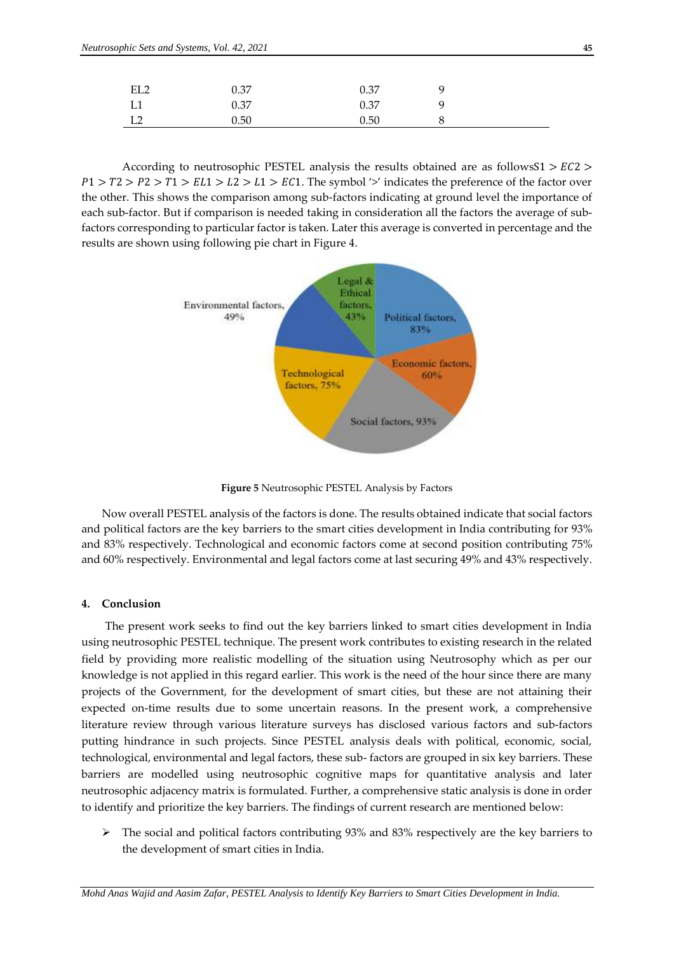| EL <sub>2</sub> | 0.37 | 0.37 | <u>g</u> |  |
|-----------------|------|------|----------|--|
| L1              | 0.37 | 0.37 | Q        |  |
| L <sub>2</sub>  | 0.50 | 0.50 | 8        |  |

According to neutrosophic PESTEL analysis the results obtained are as followsS1  $> EC2 >$  $P1 > T2 > P2 > T1 > EL1 > L2 > L1 > EC1$ . The symbol '>' indicates the preference of the factor over the other. This shows the comparison among sub-factors indicating at ground level the importance of each sub-factor. But if comparison is needed taking in consideration all the factors the average of subfactors corresponding to particular factor is taken. Later this average is converted in percentage and the results are shown using following pie chart in Figure 4.



**Figure 5** Neutrosophic PESTEL Analysis by Factors

Now overall PESTEL analysis of the factors is done. The results obtained indicate that social factors and political factors are the key barriers to the smart cities development in India contributing for 93% and 83% respectively. Technological and economic factors come at second position contributing 75% and 60% respectively. Environmental and legal factors come at last securing 49% and 43% respectively.

#### **4. Conclusion**

The present work seeks to find out the key barriers linked to smart cities development in India using neutrosophic PESTEL technique. The present work contributes to existing research in the related field by providing more realistic modelling of the situation using Neutrosophy which as per our knowledge is not applied in this regard earlier. This work is the need of the hour since there are many projects of the Government, for the development of smart cities, but these are not attaining their expected on-time results due to some uncertain reasons. In the present work, a comprehensive literature review through various literature surveys has disclosed various factors and sub-factors putting hindrance in such projects. Since PESTEL analysis deals with political, economic, social, technological, environmental and legal factors, these sub- factors are grouped in six key barriers. These barriers are modelled using neutrosophic cognitive maps for quantitative analysis and later neutrosophic adjacency matrix is formulated. Further, a comprehensive static analysis is done in order to identify and prioritize the key barriers. The findings of current research are mentioned below:

 $\triangleright$  The social and political factors contributing 93% and 83% respectively are the key barriers to the development of smart cities in India.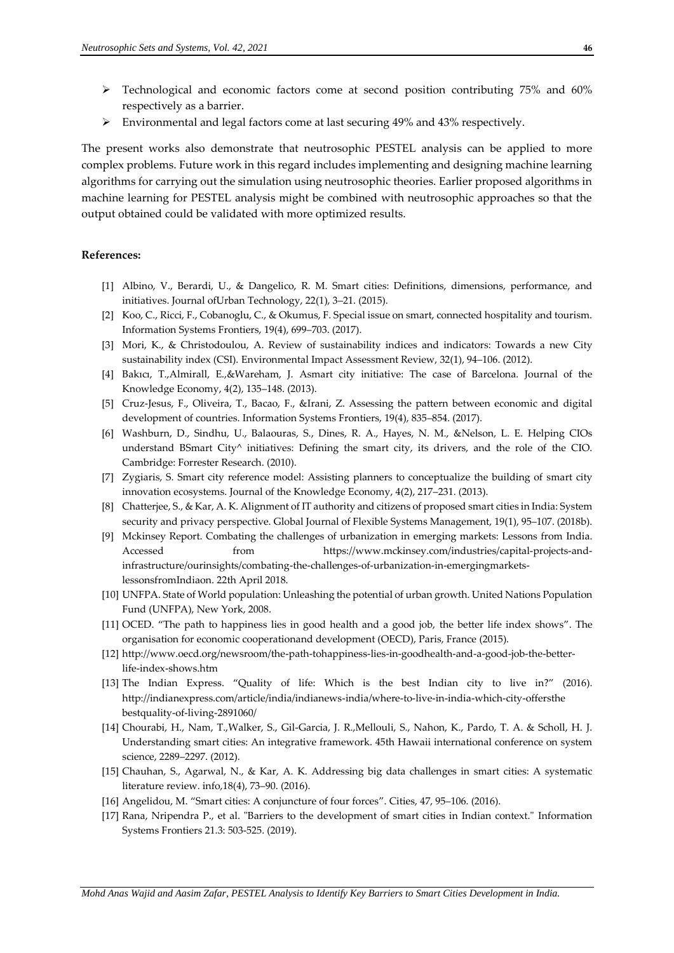- $\triangleright$  Technological and economic factors come at second position contributing 75% and 60% respectively as a barrier.
- $\triangleright$  Environmental and legal factors come at last securing 49% and 43% respectively.

The present works also demonstrate that neutrosophic PESTEL analysis can be applied to more complex problems. Future work in this regard includes implementing and designing machine learning algorithms for carrying out the simulation using neutrosophic theories. Earlier proposed algorithms in machine learning for PESTEL analysis might be combined with neutrosophic approaches so that the output obtained could be validated with more optimized results.

# **References:**

- [1] Albino, V., Berardi, U., & Dangelico, R. M. Smart cities: Definitions, dimensions, performance, and initiatives. Journal ofUrban Technology, 22(1), 3–21. (2015).
- [2] Koo, C., Ricci, F., Cobanoglu, C., & Okumus, F. Special issue on smart, connected hospitality and tourism. Information Systems Frontiers, 19(4), 699–703. (2017).
- [3] Mori, K., & Christodoulou, A. Review of sustainability indices and indicators: Towards a new City sustainability index (CSI). Environmental Impact Assessment Review, 32(1), 94–106. (2012).
- [4] Bakıcı, T.,Almirall, E.,&Wareham, J. Asmart city initiative: The case of Barcelona. Journal of the Knowledge Economy, 4(2), 135–148. (2013).
- [5] Cruz-Jesus, F., Oliveira, T., Bacao, F., &Irani, Z. Assessing the pattern between economic and digital development of countries. Information Systems Frontiers, 19(4), 835–854. (2017).
- [6] Washburn, D., Sindhu, U., Balaouras, S., Dines, R. A., Hayes, N. M., &Nelson, L. E. Helping CIOs understand BSmart City<sup>^</sup> initiatives: Defining the smart city, its drivers, and the role of the CIO. Cambridge: Forrester Research. (2010).
- [7] Zygiaris, S. Smart city reference model: Assisting planners to conceptualize the building of smart city innovation ecosystems. Journal of the Knowledge Economy, 4(2), 217–231. (2013).
- [8] Chatterjee, S., & Kar, A. K. Alignment of IT authority and citizens of proposed smart cities in India: System security and privacy perspective. Global Journal of Flexible Systems Management, 19(1), 95–107. (2018b).
- [9] Mckinsey Report. Combating the challenges of urbanization in emerging markets: Lessons from India. Accessed from [https://www.m](https://www/)ckinsey.com/industries/capital-projects-andinfrastructure/ourinsights/combating-the-challenges-of-urbanization-in-emergingmarketslessonsfromIndiaon. 22th April 2018.
- [10] UNFPA. State of World population: Unleashing the potential of urban growth. United Nations Population Fund (UNFPA), New York, 2008.
- [11] OCED. "The path to happiness lies in good health and a good job, the better life index shows". The organisation for economic cooperationand development (OECD), Paris, France (2015).
- [12] [http://www.oecd.org/newsroom/the-path-toh](http://www.oecd.org/newsroom/the-path-to)appiness-lies-in-goodhealth-and-a-good-job-the-betterlife-index-shows.htm
- [13] The Indian Express. "Quality of life: Which is the best Indian city to live in?" (2016). http://indianexpress.com/article/india/indianews-india/where-to-live-in-india-which-city-offersthe bestquality-of-living-2891060/
- [14] Chourabi, H., Nam, T.,Walker, S., Gil-Garcia, J. R.,Mellouli, S., Nahon, K., Pardo, T. A. & Scholl, H. J. Understanding smart cities: An integrative framework. 45th Hawaii international conference on system science, 2289–2297. (2012).
- [15] Chauhan, S., Agarwal, N., & Kar, A. K. Addressing big data challenges in smart cities: A systematic literature review. info,18(4), 73–90. (2016).
- [16] Angelidou, M. "Smart cities: A conjuncture of four forces". Cities, 47, 95–106. (2016).
- [17] Rana, Nripendra P., et al. "Barriers to the development of smart cities in Indian context." Information Systems Frontiers 21.3: 503-525. (2019).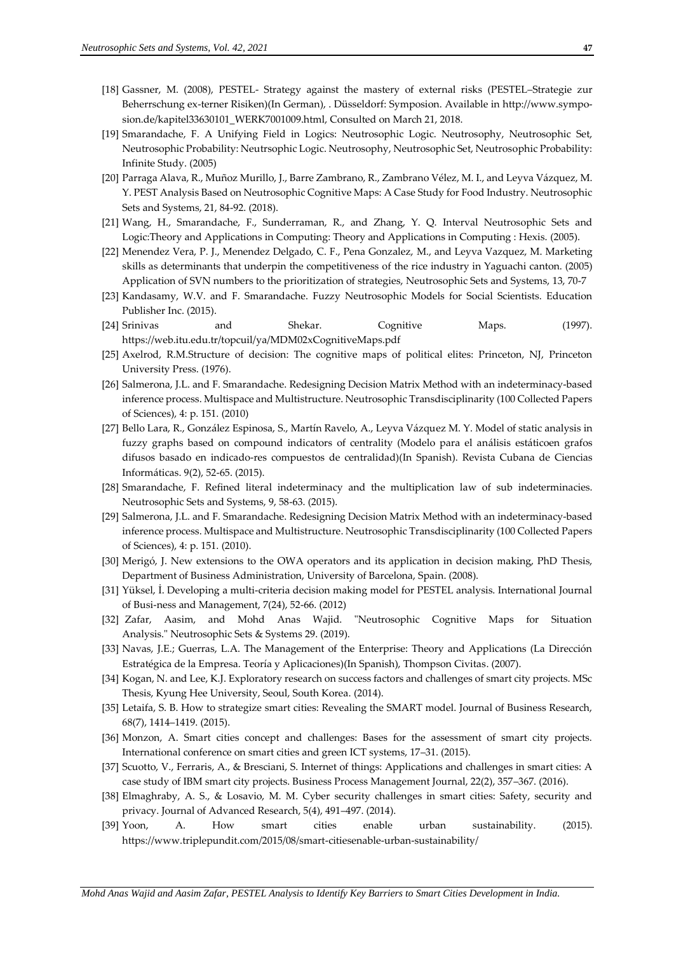- [18] Gassner, M. (2008), PESTEL- Strategy against the mastery of external risks (PESTEL–Strategie zur Beherrschung ex-terner Risiken)(In German), . Düsseldorf: Symposion. Available in http://www.symposion.de/kapitel33630101\_WERK7001009.html, Consulted on March 21, 2018.
- [19] Smarandache, F. A Unifying Field in Logics: Neutrosophic Logic. Neutrosophy, Neutrosophic Set, Neutrosophic Probability: Neutrsophic Logic. Neutrosophy, Neutrosophic Set, Neutrosophic Probability: Infinite Study. (2005)
- [20] Parraga Alava, R., Muñoz Murillo, J., Barre Zambrano, R., Zambrano Vélez, M. I., and Leyva Vázquez, M. Y. PEST Analysis Based on Neutrosophic Cognitive Maps: A Case Study for Food Industry. Neutrosophic Sets and Systems, 21, 84-92. (2018).
- [21] Wang, H., Smarandache, F., Sunderraman, R., and Zhang, Y. Q. Interval Neutrosophic Sets and Logic:Theory and Applications in Computing: Theory and Applications in Computing : Hexis. (2005).
- [22] Menendez Vera, P. J., Menendez Delgado, C. F., Pena Gonzalez, M., and Leyva Vazquez, M. Marketing skills as determinants that underpin the competitiveness of the rice industry in Yaguachi canton. (2005) Application of SVN numbers to the prioritization of strategies, Neutrosophic Sets and Systems, 13, 70-7
- [23] Kandasamy, W.V. and F. Smarandache. Fuzzy Neutrosophic Models for Social Scientists. Education Publisher Inc. (2015).
- [24] Srinivas and Shekar. Cognitive Maps. (1997). <https://web.itu.edu.tr/topcuil/ya/MDM02xCognitiveMaps.pdf>
- [25] Axelrod, R.M.Structure of decision: The cognitive maps of political elites: Princeton, NJ, Princeton University Press. (1976).
- [26] Salmerona, J.L. and F. Smarandache. Redesigning Decision Matrix Method with an indeterminacy-based inference process. Multispace and Multistructure. Neutrosophic Transdisciplinarity (100 Collected Papers of Sciences), 4: p. 151. (2010)
- [27] Bello Lara, R., González Espinosa, S., Martín Ravelo, A., Leyva Vázquez M. Y. Model of static analysis in fuzzy graphs based on compound indicators of centrality (Modelo para el análisis estáticoen grafos difusos basado en indicado-res compuestos de centralidad)(In Spanish). Revista Cubana de Ciencias Informáticas. 9(2), 52-65. (2015).
- [28] Smarandache, F. Refined literal indeterminacy and the multiplication law of sub indeterminacies. Neutrosophic Sets and Systems, 9, 58-63. (2015).
- [29] Salmerona, J.L. and F. Smarandache. Redesigning Decision Matrix Method with an indeterminacy-based inference process. Multispace and Multistructure. Neutrosophic Transdisciplinarity (100 Collected Papers of Sciences), 4: p. 151. (2010).
- [30] Merigó, J. New extensions to the OWA operators and its application in decision making, PhD Thesis, Department of Business Administration, University of Barcelona, Spain. (2008).
- [31] Yüksel, İ. Developing a multi-criteria decision making model for PESTEL analysis. International Journal of Busi-ness and Management, 7(24), 52-66. (2012)
- [32] Zafar, Aasim, and Mohd Anas Wajid. "Neutrosophic Cognitive Maps for Situation Analysis." Neutrosophic Sets & Systems 29. (2019).
- [33] Navas, J.E.; Guerras, L.A. The Management of the Enterprise: Theory and Applications (La Dirección Estratégica de la Empresa. Teoría y Aplicaciones)(In Spanish), Thompson Civitas. (2007).
- [34] Kogan, N. and Lee, K.J. Exploratory research on success factors and challenges of smart city projects. MSc Thesis, Kyung Hee University, Seoul, South Korea. (2014).
- [35] Letaifa, S. B. How to strategize smart cities: Revealing the SMART model. Journal of Business Research, 68(7), 1414–1419. (2015).
- [36] Monzon, A. Smart cities concept and challenges: Bases for the assessment of smart city projects. International conference on smart cities and green ICT systems, 17–31. (2015).
- [37] Scuotto, V., Ferraris, A., & Bresciani, S. Internet of things: Applications and challenges in smart cities: A case study of IBM smart city projects. Business Process Management Journal, 22(2), 357–367. (2016).
- [38] Elmaghraby, A. S., & Losavio, M. M. Cyber security challenges in smart cities: Safety, security and privacy. Journal of Advanced Research, 5(4), 491–497. (2014).
- [39] Yoon, A. How smart cities enable urban sustainability. (2015). https://www.triplepundit.com/2015/08/smart-citiesenable-urban-sustainability/